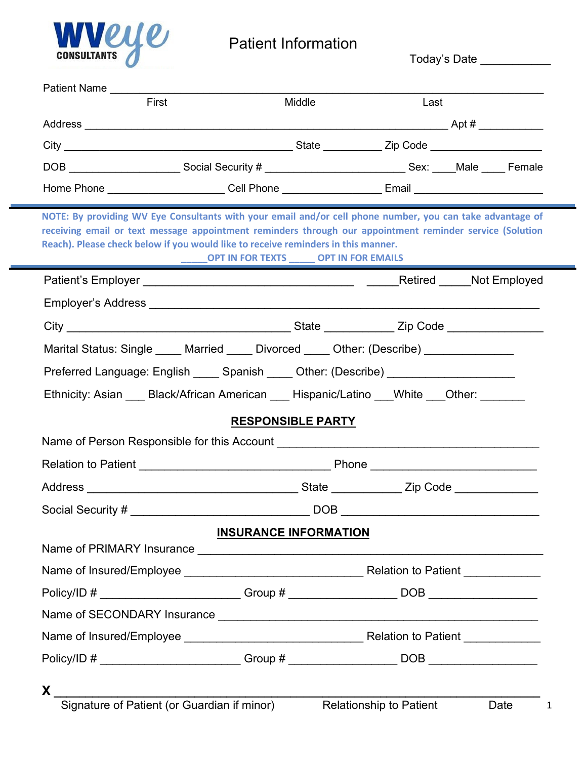

# Patient Information<br>————————————————————

| First                                                                                                                                                                                                                                                                                                      | Middle                                      | Last                                          |                      |  |
|------------------------------------------------------------------------------------------------------------------------------------------------------------------------------------------------------------------------------------------------------------------------------------------------------------|---------------------------------------------|-----------------------------------------------|----------------------|--|
|                                                                                                                                                                                                                                                                                                            |                                             |                                               |                      |  |
|                                                                                                                                                                                                                                                                                                            |                                             |                                               |                      |  |
| DOB ____________________________Social Security # ________________________________Sex: _____Male _____ Female                                                                                                                                                                                              |                                             |                                               |                      |  |
| Home Phone _______________________Cell Phone ____________________Email _____________________________                                                                                                                                                                                                       |                                             |                                               |                      |  |
| NOTE: By providing WV Eye Consultants with your email and/or cell phone number, you can take advantage of<br>receiving email or text message appointment reminders through our appointment reminder service (Solution<br>Reach). Please check below if you would like to receive reminders in this manner. | <b>NORT IN FOR TEXTS WORT IN FOR EMAILS</b> |                                               |                      |  |
|                                                                                                                                                                                                                                                                                                            |                                             |                                               | Retired Not Employed |  |
|                                                                                                                                                                                                                                                                                                            |                                             |                                               |                      |  |
|                                                                                                                                                                                                                                                                                                            |                                             |                                               |                      |  |
| Marital Status: Single _____ Married _____ Divorced _____ Other: (Describe) ______________                                                                                                                                                                                                                 |                                             |                                               |                      |  |
| Preferred Language: English _____ Spanish _____ Other: (Describe) _______________                                                                                                                                                                                                                          |                                             |                                               |                      |  |
|                                                                                                                                                                                                                                                                                                            |                                             |                                               |                      |  |
| Ethnicity: Asian ___ Black/African American ___ Hispanic/Latino ___ White ___ Other: _______                                                                                                                                                                                                               |                                             |                                               |                      |  |
|                                                                                                                                                                                                                                                                                                            | <b>RESPONSIBLE PARTY</b>                    |                                               |                      |  |
| Name of Person Responsible for this Account                                                                                                                                                                                                                                                                |                                             |                                               |                      |  |
|                                                                                                                                                                                                                                                                                                            |                                             |                                               |                      |  |
|                                                                                                                                                                                                                                                                                                            |                                             | State _______________ Zip Code ______________ |                      |  |
| Social Security #                                                                                                                                                                                                                                                                                          |                                             |                                               |                      |  |
|                                                                                                                                                                                                                                                                                                            | <b>DOB</b><br><b>INSURANCE INFORMATION</b>  |                                               |                      |  |
|                                                                                                                                                                                                                                                                                                            |                                             |                                               |                      |  |
|                                                                                                                                                                                                                                                                                                            |                                             |                                               |                      |  |
|                                                                                                                                                                                                                                                                                                            |                                             |                                               |                      |  |
|                                                                                                                                                                                                                                                                                                            |                                             |                                               |                      |  |
|                                                                                                                                                                                                                                                                                                            |                                             |                                               |                      |  |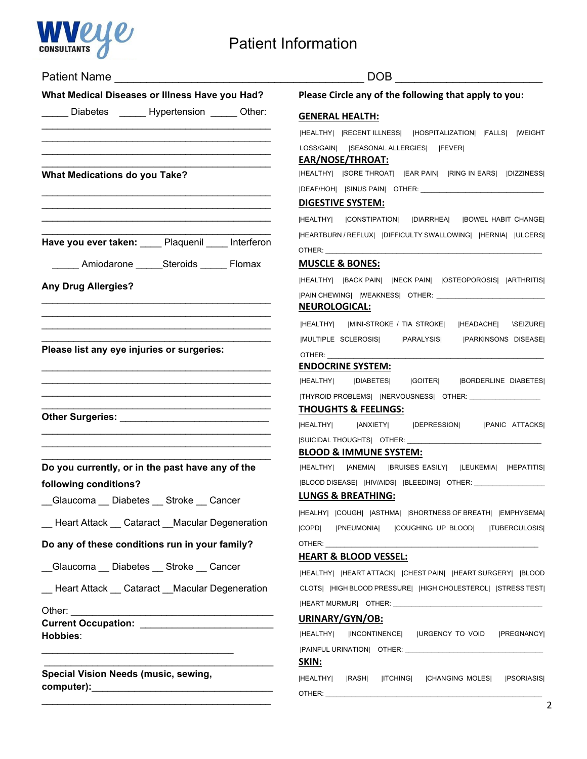

## Patient Information

| <b>Patient Name Example 2014</b>                                                                                                                                                                                               | DOB<br>Please Circle any of the following that apply to you:                                                                                                                                                                   |  |  |
|--------------------------------------------------------------------------------------------------------------------------------------------------------------------------------------------------------------------------------|--------------------------------------------------------------------------------------------------------------------------------------------------------------------------------------------------------------------------------|--|--|
| What Medical Diseases or Illness Have you Had?                                                                                                                                                                                 |                                                                                                                                                                                                                                |  |  |
| Diabetes Hypertension Other:                                                                                                                                                                                                   | <b>GENERAL HEALTH:</b>                                                                                                                                                                                                         |  |  |
|                                                                                                                                                                                                                                | HEALTHY   RECENT ILLNESS   HOSPITALIZATION   FALLS   WEIGHT                                                                                                                                                                    |  |  |
|                                                                                                                                                                                                                                | LOSS/GAIN   SEASONAL ALLERGIES   FEVER <br><b>EAR/NOSE/THROAT:</b>                                                                                                                                                             |  |  |
| <b>What Medications do you Take?</b>                                                                                                                                                                                           | HEALTHY   SORE THROAT   EAR PAIN   RING IN EARS   DIZZINESS                                                                                                                                                                    |  |  |
|                                                                                                                                                                                                                                |                                                                                                                                                                                                                                |  |  |
|                                                                                                                                                                                                                                | <b>DIGESTIVE SYSTEM:</b>                                                                                                                                                                                                       |  |  |
|                                                                                                                                                                                                                                | HEALTHY   CONSTIPATION   DIARRHEA   BOWEL HABIT CHANGE                                                                                                                                                                         |  |  |
| Have you ever taken: Plaquenil ____ Interferon                                                                                                                                                                                 | HEARTBURN / REFLUX    DIFFICULTY SWALLOWING   HERNIA   ULCERS                                                                                                                                                                  |  |  |
|                                                                                                                                                                                                                                |                                                                                                                                                                                                                                |  |  |
| Amiodarone Steroids Flomax                                                                                                                                                                                                     | <b>MUSCLE &amp; BONES:</b>                                                                                                                                                                                                     |  |  |
| <b>Any Drug Allergies?</b>                                                                                                                                                                                                     | HEALTHY   BACK PAIN   NECK PAIN   OSTEOPOROSIS   ARTHRITIS                                                                                                                                                                     |  |  |
|                                                                                                                                                                                                                                | <b>NEUROLOGICAL:</b>                                                                                                                                                                                                           |  |  |
|                                                                                                                                                                                                                                | HEALTHY    MINI-STROKE / TIA STROKE    HEADACHE  \SEIZURE                                                                                                                                                                      |  |  |
|                                                                                                                                                                                                                                | MULTIPLE SCLEROSIS     PARALYSIS     PARKINSONS DISEASE                                                                                                                                                                        |  |  |
| Please list any eye injuries or surgeries:                                                                                                                                                                                     | OTHER: The contract of the contract of the contract of the contract of the contract of the contract of the contract of the contract of the contract of the contract of the contract of the contract of the contract of the con |  |  |
|                                                                                                                                                                                                                                | <b>ENDOCRINE SYSTEM:</b>                                                                                                                                                                                                       |  |  |
|                                                                                                                                                                                                                                | HEALTHY   DIABETES   GOITER   BORDERLINE DIABETES                                                                                                                                                                              |  |  |
|                                                                                                                                                                                                                                | <b>THOUGHTS &amp; FEELINGS:</b>                                                                                                                                                                                                |  |  |
|                                                                                                                                                                                                                                | HEALTHY   ANXIETY   DEPRESSION   PANIC ATTACKS                                                                                                                                                                                 |  |  |
|                                                                                                                                                                                                                                |                                                                                                                                                                                                                                |  |  |
|                                                                                                                                                                                                                                | <b>BLOOD &amp; IMMUNE SYSTEM:</b>                                                                                                                                                                                              |  |  |
| Do you currently, or in the past have any of the                                                                                                                                                                               | HEALTHY   ANEMIA   BRUISES EASILY   LEUKEMIA   HEPATITIS                                                                                                                                                                       |  |  |
| following conditions?                                                                                                                                                                                                          | BLOOD DISEASE   HIV/AIDS   BLEEDING  OTHER: ______________                                                                                                                                                                     |  |  |
| __Glaucoma __ Diabetes __ Stroke __ Cancer                                                                                                                                                                                     | <b>LUNGS &amp; BREATHING:</b>                                                                                                                                                                                                  |  |  |
| _ Heart Attack _ Cataract _ Macular Degeneration                                                                                                                                                                               | HEALHY   COUGH   ASTHMA   SHORTNESS OF BREATH   EMPHYSEMA                                                                                                                                                                      |  |  |
|                                                                                                                                                                                                                                | <b>PNEUMONIA</b><br><b>COPDI</b><br><b>COUGHING UP BLOOD    TUBERCULOSIS </b>                                                                                                                                                  |  |  |
| Do any of these conditions run in your family?                                                                                                                                                                                 | OTHER: The contract of the contract of the contract of the contract of the contract of the contract of the contract of the contract of the contract of the contract of the contract of the contract of the contract of the con |  |  |
| Glaucoma Diabetes Stroke Cancer                                                                                                                                                                                                | <b>HEART &amp; BLOOD VESSEL:</b>                                                                                                                                                                                               |  |  |
|                                                                                                                                                                                                                                | HEALTHY   HEART ATTACK   CHEST PAIN   HEART SURGERY   BLOOD<br>CLOTS   HIGH BLOOD PRESSURE   HIGH CHOLESTEROL   STRESS TEST                                                                                                    |  |  |
| <b>Heart Attack Cataract Macular Degeneration</b>                                                                                                                                                                              |                                                                                                                                                                                                                                |  |  |
| Other: and the state of the state of the state of the state of the state of the state of the state of the state of the state of the state of the state of the state of the state of the state of the state of the state of the | URINARY/GYN/OB:                                                                                                                                                                                                                |  |  |
|                                                                                                                                                                                                                                | HEALTHY   INCONTINENCE   URGENCY TO VOID<br><b>IPREGNANCYI</b>                                                                                                                                                                 |  |  |
| Hobbies:                                                                                                                                                                                                                       |                                                                                                                                                                                                                                |  |  |
|                                                                                                                                                                                                                                | SKIN:                                                                                                                                                                                                                          |  |  |
| Special Vision Needs (music, sewing,                                                                                                                                                                                           | HEALTHY   RASH <br><b>CHANGING MOLES</b><br><b>PSORIASIS</b><br> ITCHING                                                                                                                                                       |  |  |
|                                                                                                                                                                                                                                |                                                                                                                                                                                                                                |  |  |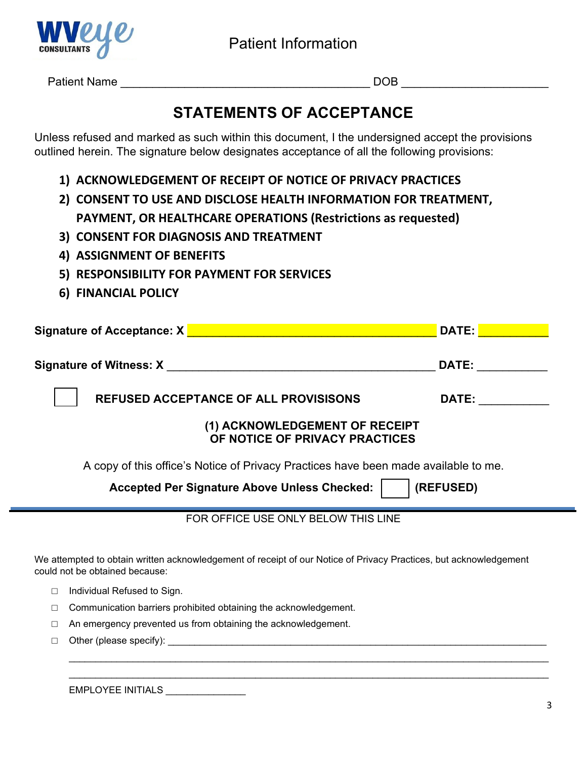

Patient Name \_\_\_\_\_\_\_\_\_\_\_\_\_\_\_\_\_\_\_\_\_\_\_\_\_\_\_\_\_\_\_\_\_\_\_\_\_\_\_ DOB \_\_\_\_\_\_\_\_\_\_\_\_\_\_\_\_\_\_\_\_\_\_\_

## **STATEMENTS OF ACCEPTANCE**

Unless refused and marked as such within this document, I the undersigned accept the provisions outlined herein. The signature below designates acceptance of all the following provisions:

- **1) ACKNOWLEDGEMENT OF RECEIPT OF NOTICE OF PRIVACY PRACTICES**
- **2) CONSENT TO USE AND DISCLOSE HEALTH INFORMATION FOR TREATMENT, PAYMENT, OR HEALTHCARE OPERATIONS (Restrictions as requested)**
- **3) CONSENT FOR DIAGNOSIS AND TREATMENT**
- **4) ASSIGNMENT OF BENEFITS**
- **5) RESPONSIBILITY FOR PAYMENT FOR SERVICES**
- **6) FINANCIAL POLICY**

| Signature of Acceptance: X                                                                                                                          | DATE:        |  |  |  |  |
|-----------------------------------------------------------------------------------------------------------------------------------------------------|--------------|--|--|--|--|
| <b>Signature of Witness: X</b>                                                                                                                      | DATE:        |  |  |  |  |
| <b>REFUSED ACCEPTANCE OF ALL PROVISISONS</b>                                                                                                        | <b>DATE:</b> |  |  |  |  |
| (1) ACKNOWLEDGEMENT OF RECEIPT<br>OF NOTICE OF PRIVACY PRACTICES                                                                                    |              |  |  |  |  |
| A copy of this office's Notice of Privacy Practices have been made available to me.                                                                 |              |  |  |  |  |
| (REFUSED)<br><b>Accepted Per Signature Above Unless Checked:</b>                                                                                    |              |  |  |  |  |
| FOR OFFICE USE ONLY BELOW THIS LINE                                                                                                                 |              |  |  |  |  |
| We attempted to obtain written acknowledgement of receipt of our Notice of Privacy Practices, but acknowledgement<br>could not be obtained because: |              |  |  |  |  |
| Individual Refused to Sign.                                                                                                                         |              |  |  |  |  |
| Communication barriers prohibited obtaining the acknowledgement.                                                                                    |              |  |  |  |  |

\_\_\_\_\_\_\_\_\_\_\_\_\_\_\_\_\_\_\_\_\_\_\_\_\_\_\_\_\_\_\_\_\_\_\_\_\_\_\_\_\_\_\_\_\_\_\_\_\_\_\_\_\_\_\_\_\_\_\_\_\_\_\_\_\_\_\_\_\_\_\_\_\_\_\_\_\_\_\_\_\_\_\_\_\_\_\_\_\_\_ \_\_\_\_\_\_\_\_\_\_\_\_\_\_\_\_\_\_\_\_\_\_\_\_\_\_\_\_\_\_\_\_\_\_\_\_\_\_\_\_\_\_\_\_\_\_\_\_\_\_\_\_\_\_\_\_\_\_\_\_\_\_\_\_\_\_\_\_\_\_\_\_\_\_\_\_\_\_\_\_\_\_\_\_\_\_\_\_\_\_

- □ An emergency prevented us from obtaining the acknowledgement.
- □ Other (please specify): \_\_\_\_\_\_\_\_\_\_\_\_\_\_\_\_\_\_\_\_\_\_\_\_\_\_\_\_\_\_\_\_\_\_\_\_\_\_\_\_\_\_\_\_\_\_\_\_\_\_\_\_\_\_\_\_\_\_\_\_\_\_\_\_\_\_\_\_\_\_\_

EMPLOYEE INITIALS \_\_\_\_\_\_\_\_\_\_\_\_\_\_\_\_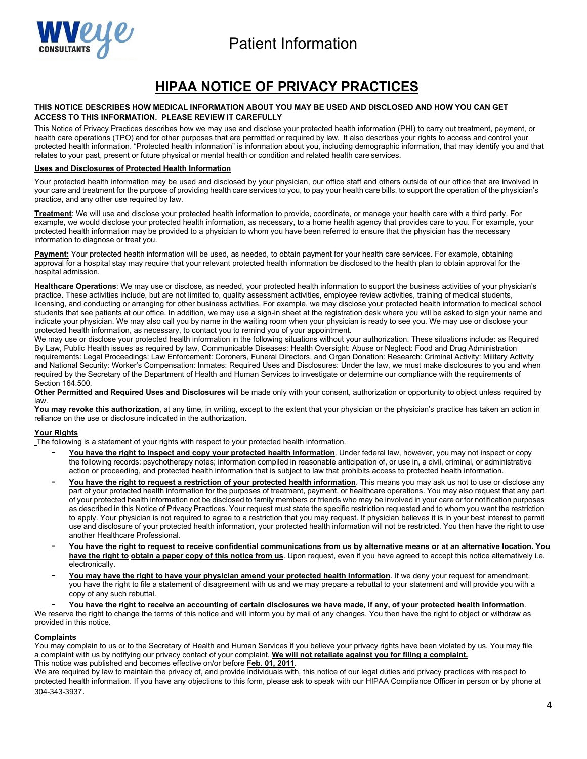



## **HIPAA NOTICE OF PRIVACY PRACTICES**

#### **THIS NOTICE DESCRIBES HOW MEDICAL INFORMATION ABOUT YOU MAY BE USED AND DISCLOSED AND HOW YOU CAN GET ACCESS TO THIS INFORMATION. PLEASE REVIEW IT CAREFULLY**

This Notice of Privacy Practices describes how we may use and disclose your protected health information (PHI) to carry out treatment, payment, or health care operations (TPO) and for other purposes that are permitted or required by law. It also describes your rights to access and control your protected health information. "Protected health information" is information about you, including demographic information, that may identify you and that relates to your past, present or future physical or mental health or condition and related health care services.

#### **Uses and Disclosures of Protected Health Information**

Your protected health information may be used and disclosed by your physician, our office staff and others outside of our office that are involved in your care and treatment for the purpose of providing health care services to you, to pay your health care bills, to support the operation of the physician's practice, and any other use required by law.

**Treatment**: We will use and disclose your protected health information to provide, coordinate, or manage your health care with a third party. For example, we would disclose your protected health information, as necessary, to a home health agency that provides care to you. For example, your protected health information may be provided to a physician to whom you have been referred to ensure that the physician has the necessary information to diagnose or treat you.

**Payment:** Your protected health information will be used, as needed, to obtain payment for your health care services. For example, obtaining approval for a hospital stay may require that your relevant protected health information be disclosed to the health plan to obtain approval for the hospital admission.

**Healthcare Operations**: We may use or disclose, as needed, your protected health information to support the business activities of your physician's practice. These activities include, but are not limited to, quality assessment activities, employee review activities, training of medical students, licensing, and conducting or arranging for other business activities. For example, we may disclose your protected health information to medical school students that see patients at our office. In addition, we may use a sign-in sheet at the registration desk where you will be asked to sign your name and indicate your physician. We may also call you by name in the waiting room when your physician is ready to see you. We may use or disclose your protected health information, as necessary, to contact you to remind you of your appointment.

We may use or disclose your protected health information in the following situations without your authorization. These situations include: as Required By Law, Public Health issues as required by law, Communicable Diseases: Health Oversight: Abuse or Neglect: Food and Drug Administration requirements: Legal Proceedings: Law Enforcement: Coroners, Funeral Directors, and Organ Donation: Research: Criminal Activity: Military Activity and National Security: Worker's Compensation: Inmates: Required Uses and Disclosures: Under the law, we must make disclosures to you and when required by the Secretary of the Department of Health and Human Services to investigate or determine our compliance with the requirements of Section 164.500.

**Other Permitted and Required Uses and Disclosures w**ill be made only with your consent, authorization or opportunity to object unless required by law.

You may revoke this authorization, at any time, in writing, except to the extent that your physician or the physician's practice has taken an action in reliance on the use or disclosure indicated in the authorization.

#### **Your Rights**

The following is a statement of your rights with respect to your protected health information.

- **You have the right to inspect and copy your protected health information**. Under federal law, however, you may not inspect or copy the following records: psychotherapy notes; information compiled in reasonable anticipation of, or use in, a civil, criminal, or administrative action or proceeding, and protected health information that is subject to law that prohibits access to protected health information.
- You have the right to request a restriction of your protected health information. This means you may ask us not to use or disclose any part of your protected health information for the purposes of treatment, payment, or healthcare operations. You may also request that any part of your protected health information not be disclosed to family members or friends who may be involved in your care or for notification purposes as described in this Notice of Privacy Practices. Your request must state the specific restriction requested and to whom you want the restriction to apply. Your physician is not required to agree to a restriction that you may request. If physician believes it is in your best interest to permit use and disclosure of your protected health information, your protected health information will not be restricted. You then have the right to use another Healthcare Professional.
- **You have the right to request to receive confidential communications from us by alternative means or at an alternative location. You have the right to obtain a paper copy of this notice from us**. Upon request, even if you have agreed to accept this notice alternatively i.e. electronically.
- You may have the right to have your physician amend your protected health information. If we deny your request for amendment, you have the right to file a statement of disagreement with us and we may prepare a rebuttal to your statement and will provide you with a copy of any such rebuttal.
- **You have the right to receive an accounting of certain disclosures we have made, if any, of your protected health information**.

We reserve the right to change the terms of this notice and will inform you by mail of any changes. You then have the right to object or withdraw as provided in this notice.

#### **Complaints**

You may complain to us or to the Secretary of Health and Human Services if you believe your privacy rights have been violated by us. You may file a complaint with us by notifying our privacy contact of your complaint. **We will not retaliate against you for filing a complaint.** This notice was published and becomes effective on/or before **Feb. 01, 2011**.

We are required by law to maintain the privacy of, and provide individuals with, this notice of our legal duties and privacy practices with respect to protected health information. If you have any objections to this form, please ask to speak with our HIPAA Compliance Officer in person or by phone at 304-343-3937.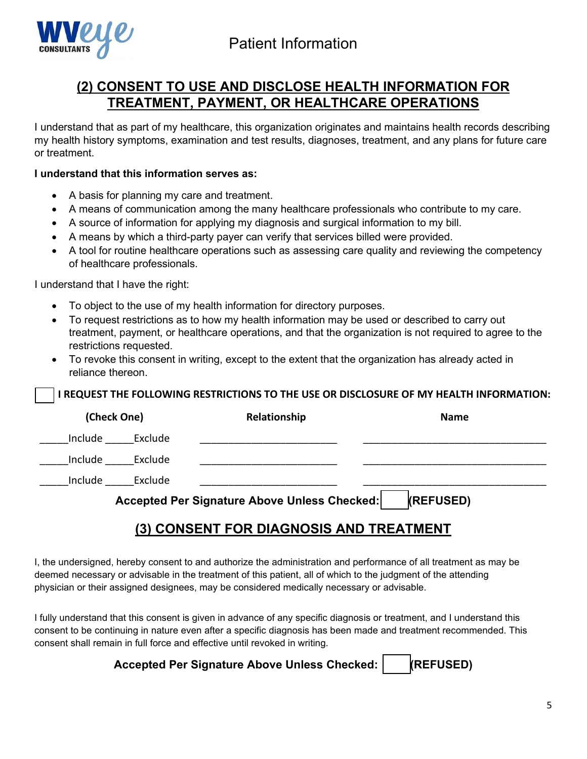



## **(2) CONSENT TO USE AND DISCLOSE HEALTH INFORMATION FOR TREATMENT, PAYMENT, OR HEALTHCARE OPERATIONS**

I understand that as part of my healthcare, this organization originates and maintains health records describing my health history symptoms, examination and test results, diagnoses, treatment, and any plans for future care or treatment.

## **I understand that this information serves as:**

- A basis for planning my care and treatment.
- A means of communication among the many healthcare professionals who contribute to my care.
- A source of information for applying my diagnosis and surgical information to my bill.
- A means by which a third-party payer can verify that services billed were provided.
- A tool for routine healthcare operations such as assessing care quality and reviewing the competency of healthcare professionals.

I understand that I have the right:

- To object to the use of my health information for directory purposes.
- To request restrictions as to how my health information may be used or described to carry out treatment, payment, or healthcare operations, and that the organization is not required to agree to the restrictions requested.
- To revoke this consent in writing, except to the extent that the organization has already acted in reliance thereon.

## **I REQUEST THE FOLLOWING RESTRICTIONS TO THE USE OR DISCLOSURE OF MY HEALTH INFORMATION:**

| (Check One)                                                      |         | Relationship | <b>Name</b> |  |
|------------------------------------------------------------------|---------|--------------|-------------|--|
| Include                                                          | Exclude |              |             |  |
| Include                                                          | Exclude |              |             |  |
| Include                                                          | Exclude |              |             |  |
| Accepted Per Signature Above Unless Checked:<br><b>(REFUSED)</b> |         |              |             |  |

## **(3) CONSENT FOR DIAGNOSIS AND TREATMENT**

I, the undersigned, hereby consent to and authorize the administration and performance of all treatment as may be deemed necessary or advisable in the treatment of this patient, all of which to the judgment of the attending physician or their assigned designees, may be considered medically necessary or advisable.

I fully understand that this consent is given in advance of any specific diagnosis or treatment, and I understand this consent to be continuing in nature even after a specific diagnosis has been made and treatment recommended. This consent shall remain in full force and effective until revoked in writing.

## **Accepted Per Signature Above Unless Checked: (REFUSED)**

5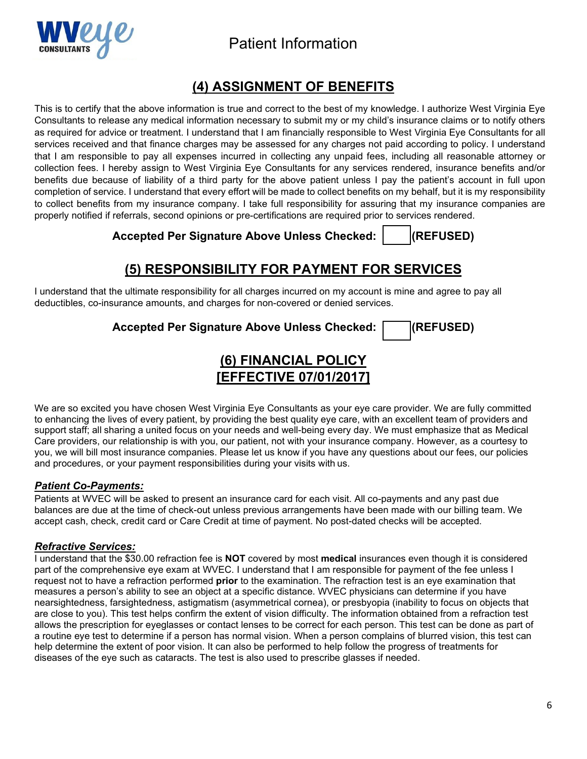



## **(4) ASSIGNMENT OF BENEFITS**

This is to certify that the above information is true and correct to the best of my knowledge. I authorize West Virginia Eye Consultants to release any medical information necessary to submit my or my child's insurance claims or to notify others as required for advice or treatment. I understand that I am financially responsible to West Virginia Eye Consultants for all services received and that finance charges may be assessed for any charges not paid according to policy. I understand that I am responsible to pay all expenses incurred in collecting any unpaid fees, including all reasonable attorney or collection fees. I hereby assign to West Virginia Eye Consultants for any services rendered, insurance benefits and/or benefits due because of liability of a third party for the above patient unless I pay the patient's account in full upon completion of service. I understand that every effort will be made to collect benefits on my behalf, but it is my responsibility to collect benefits from my insurance company. I take full responsibility for assuring that my insurance companies are properly notified if referrals, second opinions or pre-certifications are required prior to services rendered.

**Accepted Per Signature Above Unless Checked: (REFUSED)**

## **(5) RESPONSIBILITY FOR PAYMENT FOR SERVICES**

I understand that the ultimate responsibility for all charges incurred on my account is mine and agree to pay all deductibles, co-insurance amounts, and charges for non-covered or denied services.

**Accepted Per Signature Above Unless Checked: (REFUSED)**

## **(6) FINANCIAL POLICY [EFFECTIVE 07/01/2017]**

We are so excited you have chosen West Virginia Eye Consultants as your eye care provider. We are fully committed to enhancing the lives of every patient, by providing the best quality eye care, with an excellent team of providers and support staff; all sharing a united focus on your needs and well-being every day. We must emphasize that as Medical Care providers, our relationship is with you, our patient, not with your insurance company. However, as a courtesy to you, we will bill most insurance companies. Please let us know if you have any questions about our fees, our policies and procedures, or your payment responsibilities during your visits with us.

### *Patient Co-Payments:*

Patients at WVEC will be asked to present an insurance card for each visit. All co-payments and any past due balances are due at the time of check-out unless previous arrangements have been made with our billing team. We accept cash, check, credit card or Care Credit at time of payment. No post-dated checks will be accepted.

### *Refractive Services:*

I understand that the \$30.00 refraction fee is **NOT** covered by most **medical** insurances even though it is considered part of the comprehensive eye exam at WVEC. I understand that I am responsible for payment of the fee unless I request not to have a refraction performed **prior** to the examination. The refraction test is an eye examination that measures a person's ability to see an object at a specific distance. WVEC physicians can determine if you have nearsightedness, farsightedness, astigmatism (asymmetrical cornea), or presbyopia (inability to focus on objects that are close to you). This test helps confirm the extent of vision difficulty. The information obtained from a refraction test allows the prescription for eyeglasses or contact lenses to be correct for each person. This test can be done as part of a routine eye test to determine if a person has normal vision. When a person complains of blurred vision, this test can help determine the extent of poor vision. It can also be performed to help follow the progress of treatments for diseases of the eye such as cataracts. The test is also used to prescribe glasses if needed.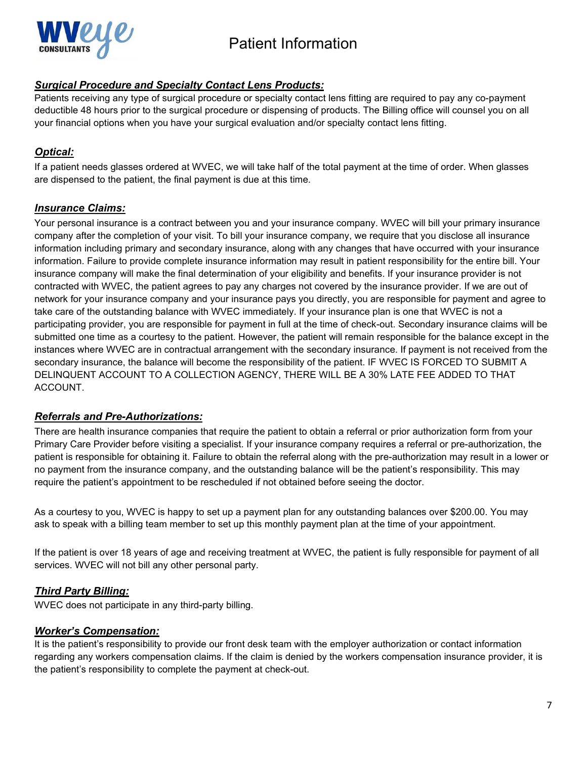

## *Surgical Procedure and Specialty Contact Lens Products:*

Patients receiving any type of surgical procedure or specialty contact lens fitting are required to pay any co-payment deductible 48 hours prior to the surgical procedure or dispensing of products. The Billing office will counsel you on all your financial options when you have your surgical evaluation and/or specialty contact lens fitting.

## *Optical:*

If a patient needs glasses ordered at WVEC, we will take half of the total payment at the time of order. When glasses are dispensed to the patient, the final payment is due at this time.

## *Insurance Claims:*

Your personal insurance is a contract between you and your insurance company. WVEC will bill your primary insurance company after the completion of your visit. To bill your insurance company, we require that you disclose all insurance information including primary and secondary insurance, along with any changes that have occurred with your insurance information. Failure to provide complete insurance information may result in patient responsibility for the entire bill. Your insurance company will make the final determination of your eligibility and benefits. If your insurance provider is not contracted with WVEC, the patient agrees to pay any charges not covered by the insurance provider. If we are out of network for your insurance company and your insurance pays you directly, you are responsible for payment and agree to take care of the outstanding balance with WVEC immediately. If your insurance plan is one that WVEC is not a participating provider, you are responsible for payment in full at the time of check-out. Secondary insurance claims will be submitted one time as a courtesy to the patient. However, the patient will remain responsible for the balance except in the instances where WVEC are in contractual arrangement with the secondary insurance. If payment is not received from the secondary insurance, the balance will become the responsibility of the patient. IF WVEC IS FORCED TO SUBMIT A DELINQUENT ACCOUNT TO A COLLECTION AGENCY, THERE WILL BE A 30% LATE FEE ADDED TO THAT ACCOUNT.

## *Referrals and Pre-Authorizations:*

There are health insurance companies that require the patient to obtain a referral or prior authorization form from your Primary Care Provider before visiting a specialist. If your insurance company requires a referral or pre-authorization, the patient is responsible for obtaining it. Failure to obtain the referral along with the pre-authorization may result in a lower or no payment from the insurance company, and the outstanding balance will be the patient's responsibility. This may require the patient's appointment to be rescheduled if not obtained before seeing the doctor.

As a courtesy to you, WVEC is happy to set up a payment plan for any outstanding balances over \$200.00. You may ask to speak with a billing team member to set up this monthly payment plan at the time of your appointment.

If the patient is over 18 years of age and receiving treatment at WVEC, the patient is fully responsible for payment of all services. WVEC will not bill any other personal party.

## *Third Party Billing:*

WVEC does not participate in any third-party billing.

### *Worker's Compensation:*

It is the patient's responsibility to provide our front desk team with the employer authorization or contact information regarding any workers compensation claims. If the claim is denied by the workers compensation insurance provider, it is the patient's responsibility to complete the payment at check-out.